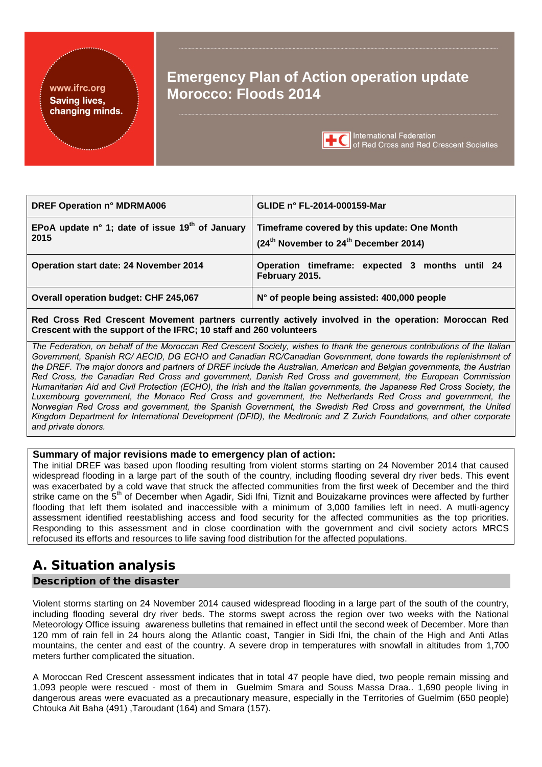#### www.ifrc.org **Saving lives,** changing minds.

# **Emergency Plan of Action operation update Morocco: Floods 2014**



**International Federation** of Red Cross and Red Crescent Societies

| <b>DREF Operation n° MDRMA006</b>                         | GLIDE n° FL-2014-000159-Mar                                                                                  |
|-----------------------------------------------------------|--------------------------------------------------------------------------------------------------------------|
| EPoA update n° 1; date of issue $19th$ of January<br>2015 | Timeframe covered by this update: One Month<br>(24 <sup>th</sup> November to 24 <sup>th</sup> December 2014) |
| Operation start date: 24 November 2014                    | Operation timeframe: expected 3 months until 24<br>February 2015.                                            |
| Overall operation budget: CHF 245,067                     | N° of people being assisted: 400,000 people                                                                  |

**Red Cross Red Crescent Movement partners currently actively involved in the operation: Moroccan Red Crescent with the support of the IFRC; 10 staff and 260 volunteers**

*The Federation, on behalf of the Moroccan Red Crescent Society, wishes to thank the generous contributions of the Italian Government, Spanish RC/ AECID, DG ECHO and Canadian RC/Canadian Government, done towards the replenishment of the DREF. The major donors and partners of DREF include the Australian, American and Belgian governments, the Austrian Red Cross, the Canadian Red Cross and government, Danish Red Cross and government, the European Commission Humanitarian Aid and Civil Protection (ECHO), the Irish and the Italian governments, the Japanese Red Cross Society, the Luxembourg government, the Monaco Red Cross and government, the Netherlands Red Cross and government, the Norwegian Red Cross and government, the Spanish Government, the Swedish Red Cross and government, the United Kingdom Department for International Development (DFID), the Medtronic and Z Zurich Foundations, and other corporate and private donors.*

#### **Summary of major revisions made to emergency plan of action:**

The initial DREF was based upon flooding resulting from violent storms starting on 24 November 2014 that caused widespread flooding in a large part of the south of the country, including flooding several dry river beds. This event was exacerbated by a cold wave that struck the affected communities from the first week of December and the third strike came on the 5<sup>th</sup> of December when Agadir, Sidi Ifni, Tiznit and Bouizakarne provinces were affected by further flooding that left them isolated and inaccessible with a minimum of 3,000 families left in need. A mutli-agency assessment identified reestablishing access and food security for the affected communities as the top priorities. Responding to this assessment and in close coordination with the government and civil society actors MRCS refocused its efforts and resources to life saving food distribution for the affected populations.

## A. Situation analysis

## Description of the disaster

Violent storms starting on 24 November 2014 caused widespread flooding in a large part of the south of the country, including flooding several dry river beds. The storms swept across the region over two weeks with the National Meteorology Office issuing awareness bulletins that remained in effect until the second week of December. More than 120 mm of rain fell in 24 hours along the Atlantic coast, Tangier in Sidi Ifni, the chain of the High and Anti Atlas mountains, the center and east of the country. A severe drop in temperatures with snowfall in altitudes from 1,700 meters further complicated the situation.

A Moroccan Red Crescent assessment indicates that in total 47 people have died, two people remain missing and 1,093 people were rescued - most of them in Guelmim Smara and Souss Massa Draa.. 1,690 people living in dangerous areas were evacuated as a precautionary measure, especially in the Territories of Guelmim (650 people) Chtouka Ait Baha (491) ,Taroudant (164) and Smara (157).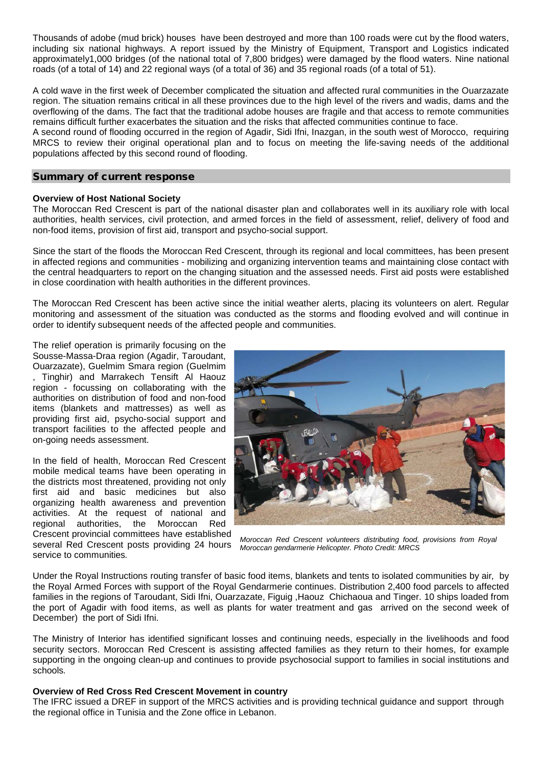Thousands of adobe (mud brick) houses have been destroyed and more than 100 roads were cut by the flood waters, including six national highways. A report issued by the Ministry of Equipment, Transport and Logistics indicated approximately1,000 bridges (of the national total of 7,800 bridges) were damaged by the flood waters. Nine national roads (of a total of 14) and 22 regional ways (of a total of 36) and 35 regional roads (of a total of 51).

A cold wave in the first week of December complicated the situation and affected rural communities in the Ouarzazate region. The situation remains critical in all these provinces due to the high level of the rivers and wadis, dams and the overflowing of the dams. The fact that the traditional adobe houses are fragile and that access to remote communities remains difficult further exacerbates the situation and the risks that affected communities continue to face.

A second round of flooding occurred in the region of Agadir, Sidi Ifni, Inazgan, in the south west of Morocco, requiring MRCS to review their original operational plan and to focus on meeting the life-saving needs of the additional populations affected by this second round of flooding.

#### Summary of current response

#### **Overview of Host National Society**

The Moroccan Red Crescent is part of the national disaster plan and collaborates well in its auxiliary role with local authorities, health services, civil protection, and armed forces in the field of assessment, relief, delivery of food and non-food items, provision of first aid, transport and psycho-social support.

Since the start of the floods the Moroccan Red Crescent, through its regional and local committees, has been present in affected regions and communities - mobilizing and organizing intervention teams and maintaining close contact with the central headquarters to report on the changing situation and the assessed needs. First aid posts were established in close coordination with health authorities in the different provinces.

The Moroccan Red Crescent has been active since the initial weather alerts, placing its volunteers on alert. Regular monitoring and assessment of the situation was conducted as the storms and flooding evolved and will continue in order to identify subsequent needs of the affected people and communities.

The relief operation is primarily focusing on the Sousse-Massa-Draa region (Agadir, Taroudant, Ouarzazate), Guelmim Smara region (Guelmim , Tinghir) and Marrakech Tensift Al Haouz region - focussing on collaborating with the authorities on distribution of food and non-food items (blankets and mattresses) as well as providing first aid, psycho-social support and transport facilities to the affected people and on-going needs assessment.

In the field of health, Moroccan Red Crescent mobile medical teams have been operating in the districts most threatened, providing not only first aid and basic medicines but also organizing health awareness and prevention activities. At the request of national and regional authorities, the Moroccan Red regional authorities, the Moroccan Red Crescent provincial committees have established

several Red Crescent posts providing 24 hours service to communities*.*



*Moroccan Red Crescent volunteers distributing food, provisions from Royal Moroccan gendarmerie Helicopter. Photo Credit: MRCS*

Under the Royal Instructions routing transfer of basic food items, blankets and tents to isolated communities by air*,* by the Royal Armed Forces with support of the Royal Gendarmerie continues. Distribution 2,400 food parcels to affected families in the regions of Taroudant, Sidi Ifni, Ouarzazate, Figuig ,Haouz Chichaoua and Tinger. 10 ships loaded from the port of Agadir with food items, as well as plants for water treatment and gas arrived on the second week of December) the port of Sidi Ifni.

The Ministry of Interior has identified significant losses and continuing needs, especially in the livelihoods and food security sectors. Moroccan Red Crescent is assisting affected families as they return to their homes, for example supporting in the ongoing clean-up and continues to provide psychosocial support to families in social institutions and schools*.*

#### **Overview of Red Cross Red Crescent Movement in country**

The IFRC issued a DREF in support of the MRCS activities and is providing technical guidance and support through the regional office in Tunisia and the Zone office in Lebanon.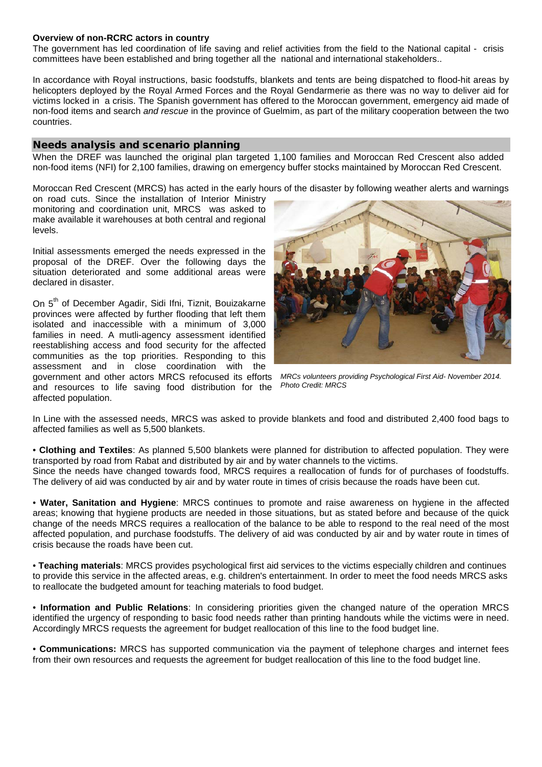#### **Overview of non-RCRC actors in country**

The government has led coordination of life saving and relief activities from the field to the National capital - crisis committees have been established and bring together all the national and international stakeholders..

In accordance with Royal instructions, basic foodstuffs, blankets and tents are being dispatched to flood-hit areas by helicopters deployed by the Royal Armed Forces and the Royal Gendarmerie as there was no way to deliver aid for victims locked in a crisis. The Spanish government has offered to the Moroccan government, emergency aid made of non-food items and search *and rescue* in the province of Guelmim, as part of the military cooperation between the two countries.

#### Needs analysis and scenario planning

When the DREF was launched the original plan targeted 1,100 families and Moroccan Red Crescent also added non-food items (NFI) for 2,100 families, drawing on emergency buffer stocks maintained by Moroccan Red Crescent.

Moroccan Red Crescent (MRCS) has acted in the early hours of the disaster by following weather alerts and warnings

on road cuts. Since the installation of Interior Ministry monitoring and coordination unit, MRCS was asked to make available it warehouses at both central and regional levels.

Initial assessments emerged the needs expressed in the proposal of the DREF. Over the following days the situation deteriorated and some additional areas were declared in disaster.

On 5<sup>th</sup> of December Agadir, Sidi Ifni, Tiznit, Bouizakarne provinces were affected by further flooding that left them isolated and inaccessible with a minimum of 3,000 families in need. A mutli-agency assessment identified reestablishing access and food security for the affected communities as the top priorities. Responding to this assessment and in close coordination with the

government and other actors MRCS refocused its efforts and resources to life saving food distribution for the affected population.

*MRCs volunteers providing Psychological First Aid- November 2014. Photo Credit: MRCS*

In Line with the assessed needs, MRCS was asked to provide blankets and food and distributed 2,400 food bags to affected families as well as 5,500 blankets.

• **Clothing and Textiles**: As planned 5,500 blankets were planned for distribution to affected population. They were transported by road from Rabat and distributed by air and by water channels to the victims. Since the needs have changed towards food, MRCS requires a reallocation of funds for of purchases of foodstuffs. The delivery of aid was conducted by air and by water route in times of crisis because the roads have been cut.

• **Water, Sanitation and Hygiene**: MRCS continues to promote and raise awareness on hygiene in the affected areas; knowing that hygiene products are needed in those situations, but as stated before and because of the quick change of the needs MRCS requires a reallocation of the balance to be able to respond to the real need of the most affected population, and purchase foodstuffs. The delivery of aid was conducted by air and by water route in times of crisis because the roads have been cut.

• **Teaching materials**: MRCS provides psychological first aid services to the victims especially children and continues to provide this service in the affected areas, e.g. children's entertainment. In order to meet the food needs MRCS asks to reallocate the budgeted amount for teaching materials to food budget.

• **Information and Public Relations**: In considering priorities given the changed nature of the operation MRCS identified the urgency of responding to basic food needs rather than printing handouts while the victims were in need. Accordingly MRCS requests the agreement for budget reallocation of this line to the food budget line.

• **Communications:** MRCS has supported communication via the payment of telephone charges and internet fees from their own resources and requests the agreement for budget reallocation of this line to the food budget line.

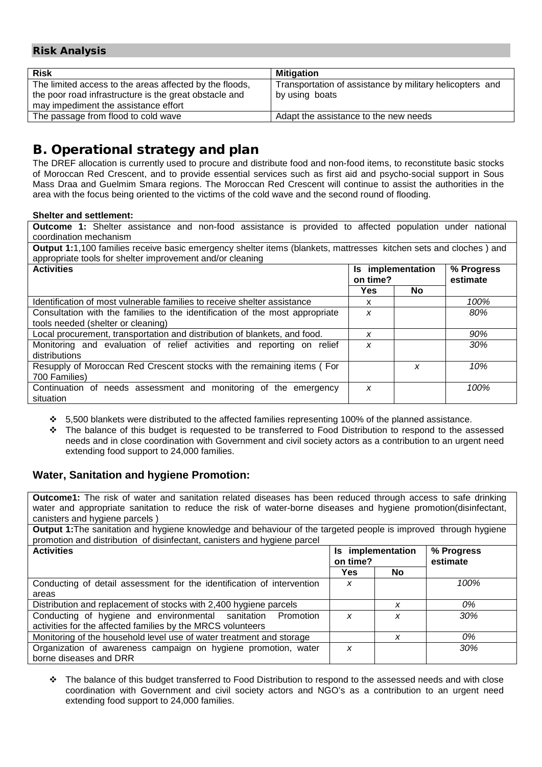## Risk Analysis

| <b>Risk</b>                                                                                                                                               | <b>Mitigation</b>                                                          |
|-----------------------------------------------------------------------------------------------------------------------------------------------------------|----------------------------------------------------------------------------|
| The limited access to the areas affected by the floods,<br>the poor road infrastructure is the great obstacle and<br>may impediment the assistance effort | Transportation of assistance by military helicopters and<br>by using boats |
| The passage from flood to cold wave                                                                                                                       | Adapt the assistance to the new needs                                      |
|                                                                                                                                                           |                                                                            |

## B. Operational strategy and plan

The DREF allocation is currently used to procure and distribute food and non-food items, to reconstitute basic stocks of Moroccan Red Crescent, and to provide essential services such as first aid and psycho-social support in Sous Mass Draa and Guelmim Smara regions. The Moroccan Red Crescent will continue to assist the authorities in the area with the focus being oriented to the victims of the cold wave and the second round of flooding.

#### **Shelter and settlement:**

**Outcome 1:** Shelter assistance and non-food assistance is provided to affected population under national coordination mechanism

| <b>Output 1:1,100 families receive basic emergency shelter items (blankets, mattresses kitchen sets and cloches) and</b><br>appropriate tools for shelter improvement and/or cleaning |          |                   |                        |
|---------------------------------------------------------------------------------------------------------------------------------------------------------------------------------------|----------|-------------------|------------------------|
| <b>Activities</b>                                                                                                                                                                     | on time? | Is implementation | % Progress<br>estimate |
|                                                                                                                                                                                       | Yes      | No.               |                        |
| Identification of most vulnerable families to receive shelter assistance                                                                                                              | x        |                   | 100%                   |
| Consultation with the families to the identification of the most appropriate                                                                                                          | X        |                   | 80%                    |
| tools needed (shelter or cleaning)                                                                                                                                                    |          |                   |                        |
| Local procurement, transportation and distribution of blankets, and food.                                                                                                             | X        |                   | 90%                    |
| Monitoring and evaluation of relief activities and reporting on relief<br>distributions                                                                                               | x        |                   | 30%                    |
| Resupply of Moroccan Red Crescent stocks with the remaining items (For<br>700 Families)                                                                                               |          | x                 | 10%                    |
| Continuation of needs assessment and monitoring of the emergency<br>situation                                                                                                         | X        |                   | 100%                   |

- $\div$  5,500 blankets were distributed to the affected families representing 100% of the planned assistance.
- The balance of this budget is requested to be transferred to Food Distribution to respond to the assessed needs and in close coordination with Government and civil society actors as a contribution to an urgent need extending food support to 24,000 families.

## **Water, Sanitation and hygiene Promotion:**

**Outcome1:** The risk of water and sanitation related diseases has been reduced through access to safe drinking water and appropriate sanitation to reduce the risk of water-borne diseases and hygiene promotion(disinfectant, canisters and hygiene parcels )

**Output 1:**The sanitation and hygiene knowledge and behaviour of the targeted people is improved through hygiene promotion and distribution of disinfectant, canisters and hygiene parcel

| <b>Activities</b>                                                      | on time?   | Is implementation | % Progress<br>estimate |  |
|------------------------------------------------------------------------|------------|-------------------|------------------------|--|
|                                                                        | <b>Yes</b> | <b>No</b>         |                        |  |
| Conducting of detail assessment for the identification of intervention | x          |                   | 100%                   |  |
| areas                                                                  |            |                   |                        |  |
| Distribution and replacement of stocks with 2,400 hygiene parcels      |            | x                 | 0%                     |  |
| Conducting of hygiene and environmental sanitation Promotion           | X          | x                 | 30%                    |  |
| activities for the affected families by the MRCS volunteers            |            |                   |                        |  |
| Monitoring of the household level use of water treatment and storage   |            | x                 | 0%                     |  |
| Organization of awareness campaign on hygiene promotion, water         | x          |                   | 30%                    |  |
| borne diseases and DRR                                                 |            |                   |                        |  |

 The balance of this budget transferred to Food Distribution to respond to the assessed needs and with close coordination with Government and civil society actors and NGO's as a contribution to an urgent need extending food support to 24,000 families.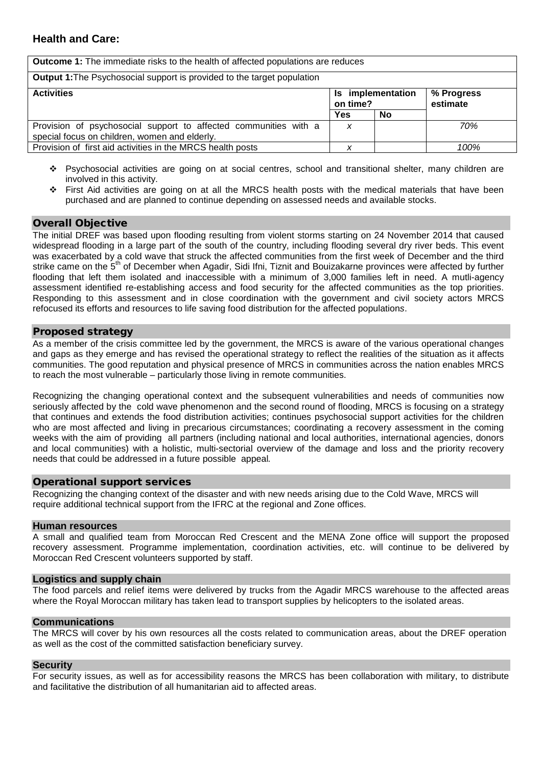**Outcome 1:** The immediate risks to the health of affected populations are reduces **Output 1:**The Psychosocial support is provided to the target population Activities **Is implementation on time? % Progress estimate**  Yes No Provision of psychosocial support to affected communities with a special focus on children, women and elderly. *x 70%* Provision of first aid activities in the MRCS health posts *x 100%*

- Psychosocial activities are going on at social centres, school and transitional shelter, many children are involved in this activity.
- First Aid activities are going on at all the MRCS health posts with the medical materials that have been purchased and are planned to continue depending on assessed needs and available stocks.

#### Overall Objective

The initial DREF was based upon flooding resulting from violent storms starting on 24 November 2014 that caused widespread flooding in a large part of the south of the country, including flooding several dry river beds. This event was exacerbated by a cold wave that struck the affected communities from the first week of December and the third strike came on the 5<sup>th</sup> of December when Agadir, Sidi Ifni, Tiznit and Bouizakarne provinces were affected by further flooding that left them isolated and inaccessible with a minimum of 3,000 families left in need. A mutli-agency assessment identified re-establishing access and food security for the affected communities as the top priorities. Responding to this assessment and in close coordination with the government and civil society actors MRCS refocused its efforts and resources to life saving food distribution for the affected population*s*.

#### Proposed strategy

As a member of the crisis committee led by the government, the MRCS is aware of the various operational changes and gaps as they emerge and has revised the operational strategy to reflect the realities of the situation as it affects communities. The good reputation and physical presence of MRCS in communities across the nation enables MRCS to reach the most vulnerable – particularly those living in remote communities.

Recognizing the changing operational context and the subsequent vulnerabilities and needs of communities now seriously affected by the cold wave phenomenon and the second round of flooding, MRCS is focusing on a strategy that continues and extends the food distribution activities; continues psychosocial support activities for the children who are most affected and living in precarious circumstances; coordinating a recovery assessment in the coming weeks with the aim of providing all partners (including national and local authorities, international agencies, donors and local communities) with a holistic, multi-sectorial overview of the damage and loss and the priority recovery needs that could be addressed in a future possible appeal*.* 

#### Operational support services

Recognizing the changing context of the disaster and with new needs arising due to the Cold Wave, MRCS will require additional technical support from the IFRC at the regional and Zone offices.

#### **Human resources**

A small and qualified team from Moroccan Red Crescent and the MENA Zone office will support the proposed recovery assessment. Programme implementation, coordination activities, etc. will continue to be delivered by Moroccan Red Crescent volunteers supported by staff.

#### **Logistics and supply chain**

The food parcels and relief items were delivered by trucks from the Agadir MRCS warehouse to the affected areas where the Royal Moroccan military has taken lead to transport supplies by helicopters to the isolated areas.

#### **Communications**

The MRCS will cover by his own resources all the costs related to communication areas, about the DREF operation as well as the cost of the committed satisfaction beneficiary survey.

#### **Security**

For security issues, as well as for accessibility reasons the MRCS has been collaboration with military, to distribute and facilitative the distribution of all humanitarian aid to affected areas.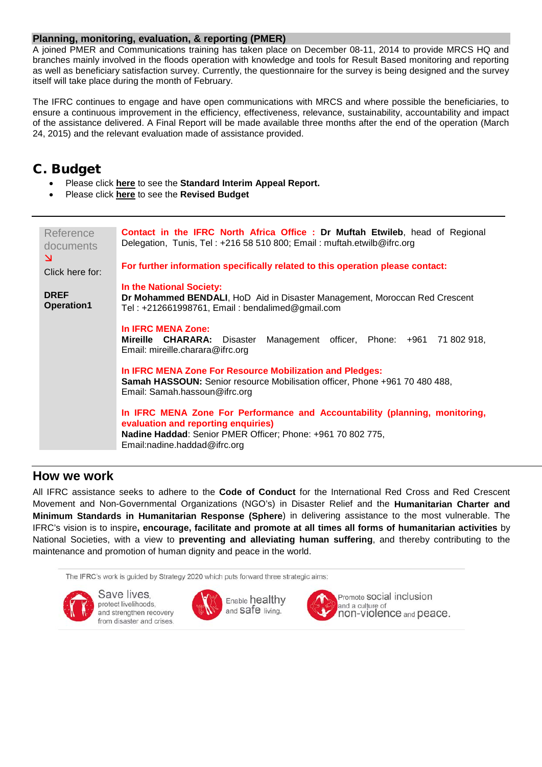#### **Planning, monitoring, evaluation, & reporting (PMER)**

A joined PMER and Communications training has taken place on December 08-11, 2014 to provide MRCS HQ and branches mainly involved in the floods operation with knowledge and tools for Result Based monitoring and reporting as well as beneficiary satisfaction survey. Currently, the questionnaire for the survey is being designed and the survey itself will take place during the month of February.

The IFRC continues to engage and have open communications with MRCS and where possible the beneficiaries, to ensure a continuous improvement in the efficiency, effectiveness, relevance, sustainability, accountability and impact of the assistance delivered. A Final Report will be made available three months after the end of the operation (March 24, 2015) and the relevant evaluation made of assistance provided.

## C. Budget

- Please click **[here](#page-6-0)** to see the **Standard Interim Appeal Report.**
- Please click **[here](#page-9-0)** to see the **Revised Budget**

| Reference<br>documents<br>$\mathbf{N}$ | <b>Contact in the IFRC North Africa Office: Dr Muftah Etwileb, head of Regional</b><br>Delegation, Tunis, Tel: +216 58 510 800; Email: muftah.etwilb@ifrc.org                                                     |
|----------------------------------------|-------------------------------------------------------------------------------------------------------------------------------------------------------------------------------------------------------------------|
| Click here for:                        | For further information specifically related to this operation please contact:                                                                                                                                    |
| <b>DREF</b><br><b>Operation1</b>       | In the National Society:<br>Dr Mohammed BENDALI, HoD Aid in Disaster Management, Moroccan Red Crescent<br>Tel: +212661998761, Email: bendalimed@gmail.com                                                         |
|                                        | In IFRC MENA Zone:<br>Mireille CHARARA:<br>Management officer, Phone: +961 71 802 918,<br>Disaster<br>Email: mireille.charara@ifrc.org                                                                            |
|                                        | In IFRC MENA Zone For Resource Mobilization and Pledges:<br>Samah HASSOUN: Senior resource Mobilisation officer, Phone +961 70 480 488,<br>Email: Samah.hassoun@ifrc.org                                          |
|                                        | In IFRC MENA Zone For Performance and Accountability (planning, monitoring,<br>evaluation and reporting enquiries)<br>Nadine Haddad: Senior PMER Officer; Phone: +961 70 802 775,<br>Email:nadine.haddad@ifrc.org |

## **How we work**

All IFRC assistance seeks to adhere to the **Code of Conduct** for the International Red Cross and Red Crescent Movement and Non-Governmental Organizations (NGO's) in Disaster Relief and the **Humanitarian Charter and Minimum Standards in Humanitarian Response (Sphere**) in delivering assistance to the most vulnerable. The IFRC's vision is to inspire**, encourage, facilitate and promote at all times all forms of humanitarian activities** by National Societies, with a view to **preventing and alleviating human suffering**, and thereby contributing to the maintenance and promotion of human dignity and peace in the world.

The IFRC's work is guided by Strategy 2020 which puts forward three strategic aims:



Save lives. protect livelihoods, and strengthen recovery from disaster and crises.





Promote SOCial inclusion and a culture of non-violence and peace.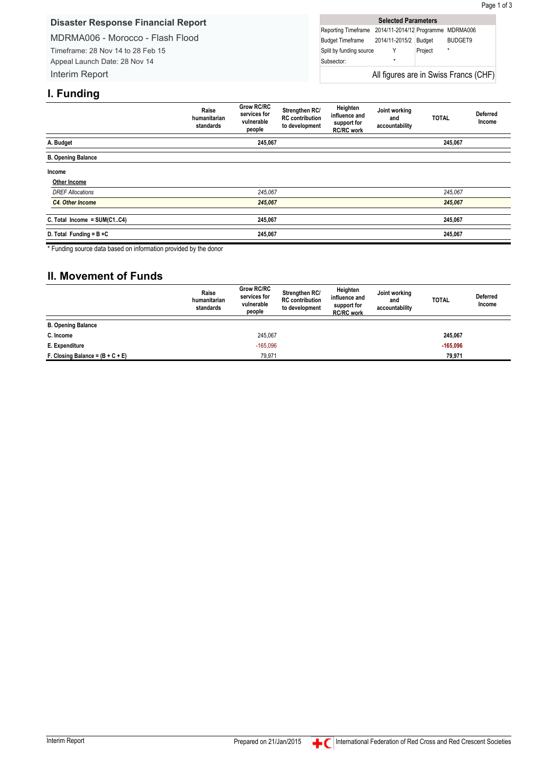#### <span id="page-6-0"></span>**Disaster Response Financial Report**

MDRMA006 - Morocco - Flash Flood Timeframe: 28 Nov 14 to 28 Feb 15 Appeal Launch Date: 28 Nov 14 Interim Report

| <b>Selected Parameters</b>                             |                |               |         |  |  |  |  |
|--------------------------------------------------------|----------------|---------------|---------|--|--|--|--|
| Reporting Timeframe 2014/11-2014/12 Programme MDRMA006 |                |               |         |  |  |  |  |
| <b>Budget Timeframe</b>                                | 2014/11-2015/2 | <b>Budget</b> | BUDGET9 |  |  |  |  |
| Split by funding source                                |                | Project       | $\star$ |  |  |  |  |
| Subsector:                                             | $\star$        |               |         |  |  |  |  |
| All figures are in Swiss Francs (CHF)                  |                |               |         |  |  |  |  |

## **I. Funding**

|                             | Raise<br>humanitarian<br>standards | Grow RC/RC<br>services for<br>vulnerable<br>people | Strengthen RC/<br><b>RC</b> contribution<br>to development | Heighten<br>influence and<br>support for<br><b>RC/RC</b> work | Joint working<br>and<br>accountability | <b>TOTAL</b> | <b>Deferred</b><br>Income |
|-----------------------------|------------------------------------|----------------------------------------------------|------------------------------------------------------------|---------------------------------------------------------------|----------------------------------------|--------------|---------------------------|
| A. Budget                   |                                    | 245,067                                            |                                                            |                                                               |                                        | 245,067      |                           |
| <b>B. Opening Balance</b>   |                                    |                                                    |                                                            |                                                               |                                        |              |                           |
| Income                      |                                    |                                                    |                                                            |                                                               |                                        |              |                           |
| Other Income                |                                    |                                                    |                                                            |                                                               |                                        |              |                           |
| <b>DREF Allocations</b>     |                                    | 245,067                                            |                                                            |                                                               |                                        | 245,067      |                           |
| C4. Other Income            |                                    | 245,067                                            |                                                            |                                                               |                                        | 245,067      |                           |
| C. Total Income = SUM(C1C4) |                                    | 245,067                                            |                                                            |                                                               |                                        | 245,067      |                           |
| D. Total Funding = $B + C$  |                                    | 245,067                                            |                                                            |                                                               |                                        | 245,067      |                           |

\* Funding source data based on information provided by the donor

## **II. Movement of Funds**

|                                    | Raise<br>humanitarian<br>standards | <b>Grow RC/RC</b><br>services for<br>vulnerable<br>people | Strengthen RC/<br><b>RC</b> contribution<br>to development | Heighten<br>influence and<br>support for<br><b>RC/RC work</b> | Joint working<br>and<br>accountability | <b>TOTAL</b> | <b>Deferred</b><br>Income |
|------------------------------------|------------------------------------|-----------------------------------------------------------|------------------------------------------------------------|---------------------------------------------------------------|----------------------------------------|--------------|---------------------------|
| <b>B. Opening Balance</b>          |                                    |                                                           |                                                            |                                                               |                                        |              |                           |
| C. Income                          |                                    | 245.067                                                   |                                                            |                                                               |                                        | 245,067      |                           |
| E. Expenditure                     |                                    | $-165,096$                                                |                                                            |                                                               |                                        | $-165,096$   |                           |
| F. Closing Balance = $(B + C + E)$ |                                    | 79.971                                                    |                                                            |                                                               |                                        | 79.971       |                           |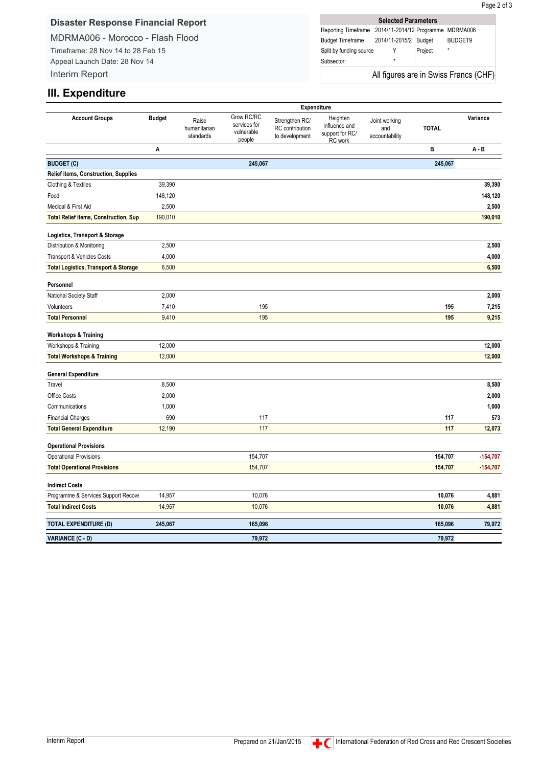#### **Disaster Response Financial Report**

MDRMA006 - Morocco - Flash Flood Timeframe: 28 Nov 14 to 28 Feb 15 Appeal Launch Date: 28 Nov 14

**Selected Parameters** Reporting Timeframe 2014/11-2014/12 Programme MDRMA006 Budget Timeframe 2014/11-2015/2 Budget BUDGET9 Split by funding source Y Project Subsector: All figures are in Swiss Francs (CHF)

## **III. Expenditure**

Interim Report

|                                                 | Expenditure   |                                    |                                                    |                                                     |                                                         |                                        |              |            |
|-------------------------------------------------|---------------|------------------------------------|----------------------------------------------------|-----------------------------------------------------|---------------------------------------------------------|----------------------------------------|--------------|------------|
| <b>Account Groups</b>                           | <b>Budget</b> | Raise<br>humanitarian<br>standards | Grow RC/RC<br>services for<br>vulnerable<br>people | Strengthen RC/<br>RC contribution<br>to development | Heighten<br>influence and<br>support for RC/<br>RC work | Joint working<br>and<br>accountability | <b>TOTAL</b> | Variance   |
|                                                 | Α             |                                    |                                                    |                                                     |                                                         |                                        | в            | $A - B$    |
| <b>BUDGET (C)</b>                               |               |                                    | 245,067                                            |                                                     |                                                         |                                        | 245,067      |            |
| <b>Relief items, Construction, Supplies</b>     |               |                                    |                                                    |                                                     |                                                         |                                        |              |            |
| Clothing & Textiles                             | 39,390        |                                    |                                                    |                                                     |                                                         |                                        |              | 39,390     |
| Food                                            | 148,120       |                                    |                                                    |                                                     |                                                         |                                        |              | 148,120    |
| Medical & First Aid                             | 2,500         |                                    |                                                    |                                                     |                                                         |                                        |              | 2,500      |
| <b>Total Relief items, Construction, Sup</b>    | 190,010       |                                    |                                                    |                                                     |                                                         |                                        |              | 190,010    |
| Logistics, Transport & Storage                  |               |                                    |                                                    |                                                     |                                                         |                                        |              |            |
| Distribution & Monitoring                       | 2,500         |                                    |                                                    |                                                     |                                                         |                                        |              | 2,500      |
| Transport & Vehicles Costs                      | 4,000         |                                    |                                                    |                                                     |                                                         |                                        |              | 4,000      |
| <b>Total Logistics, Transport &amp; Storage</b> | 6,500         |                                    |                                                    |                                                     |                                                         |                                        |              | 6,500      |
| Personnel                                       |               |                                    |                                                    |                                                     |                                                         |                                        |              |            |
| National Society Staff                          | 2,000         |                                    |                                                    |                                                     |                                                         |                                        |              | 2,000      |
| Volunteers                                      | 7,410         |                                    | 195                                                |                                                     |                                                         |                                        | 195          | 7,215      |
| <b>Total Personnel</b>                          | 9,410         |                                    | 195                                                |                                                     |                                                         |                                        | 195          | 9,215      |
| <b>Workshops &amp; Training</b>                 |               |                                    |                                                    |                                                     |                                                         |                                        |              |            |
| Workshops & Training                            | 12,000        |                                    |                                                    |                                                     |                                                         |                                        |              | 12,000     |
| <b>Total Workshops &amp; Training</b>           | 12,000        |                                    |                                                    |                                                     |                                                         |                                        |              | 12,000     |
| <b>General Expenditure</b>                      |               |                                    |                                                    |                                                     |                                                         |                                        |              |            |
| Travel                                          | 8,500         |                                    |                                                    |                                                     |                                                         |                                        |              | 8,500      |
| Office Costs                                    | 2,000         |                                    |                                                    |                                                     |                                                         |                                        |              | 2,000      |
| Communications                                  | 1,000         |                                    |                                                    |                                                     |                                                         |                                        |              | 1,000      |
| <b>Financial Charges</b>                        | 690           |                                    | 117                                                |                                                     |                                                         |                                        | 117          | 573        |
| <b>Total General Expenditure</b>                | 12,190        |                                    | 117                                                |                                                     |                                                         |                                        | 117          | 12,073     |
| <b>Operational Provisions</b>                   |               |                                    |                                                    |                                                     |                                                         |                                        |              |            |
| <b>Operational Provisions</b>                   |               |                                    | 154,707                                            |                                                     |                                                         |                                        | 154,707      | $-154,707$ |
| <b>Total Operational Provisions</b>             |               |                                    | 154,707                                            |                                                     |                                                         |                                        | 154,707      | $-154,707$ |
| <b>Indirect Costs</b>                           |               |                                    |                                                    |                                                     |                                                         |                                        |              |            |
| Programme & Services Support Recove             | 14,957        |                                    | 10,076                                             |                                                     |                                                         |                                        | 10,076       | 4,881      |
| <b>Total Indirect Costs</b>                     | 14,957        |                                    | 10,076                                             |                                                     |                                                         |                                        | 10,076       | 4,881      |
| <b>TOTAL EXPENDITURE (D)</b>                    | 245,067       |                                    | 165,096                                            |                                                     |                                                         |                                        | 165,096      | 79,972     |
| VARIANCE (C - D)                                |               |                                    | 79,972                                             |                                                     |                                                         |                                        | 79,972       |            |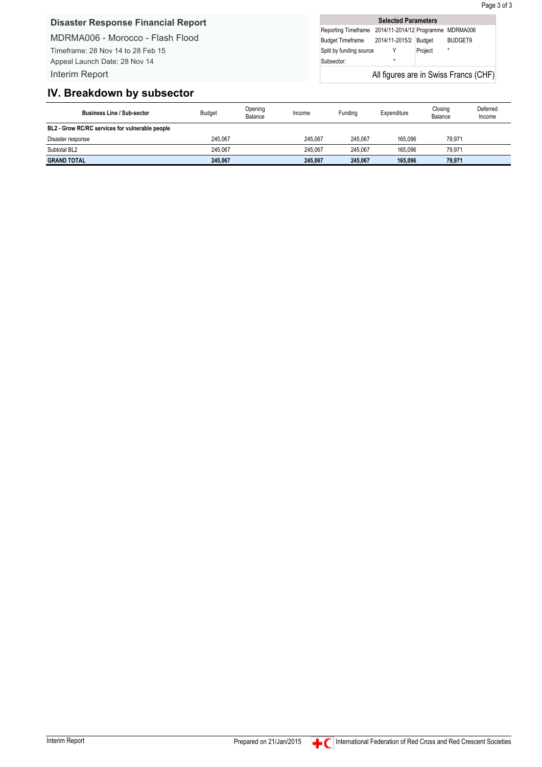Page 3 of 3

### **Disaster Response Financial Report**

MDRMA006 - Morocco - Flash Flood Timeframe: 28 Nov 14 to 28 Feb 15 Appeal Launch Date: 28 Nov 14 Interim Report

**Selected Parameters** Reporting Timeframe 2014/11-2014/12 Programme MDRMA006 Budget Timeframe 2014/11-2015/2 Budget BUDGET9 Split by funding source Y Project Subsector: All figures are in Swiss Francs (CHF)

### **IV. Breakdown by subsector**

| <b>Business Line / Sub-sector</b>               | <b>Budget</b> | Opening<br>Balance | Income  | Funding | Expenditure | Closing<br>Balance | Deferred<br>Income |
|-------------------------------------------------|---------------|--------------------|---------|---------|-------------|--------------------|--------------------|
| BL2 - Grow RC/RC services for vulnerable people |               |                    |         |         |             |                    |                    |
| Disaster response                               | 245.067       |                    | 245.067 | 245.067 | 165.096     | 79.971             |                    |
| Subtotal BL2                                    | 245.067       |                    | 245.067 | 245.067 | 165.096     | 79.971             |                    |
| <b>GRAND TOTAL</b>                              | 245,067       |                    | 245,067 | 245.067 | 165.096     | 79,971             |                    |